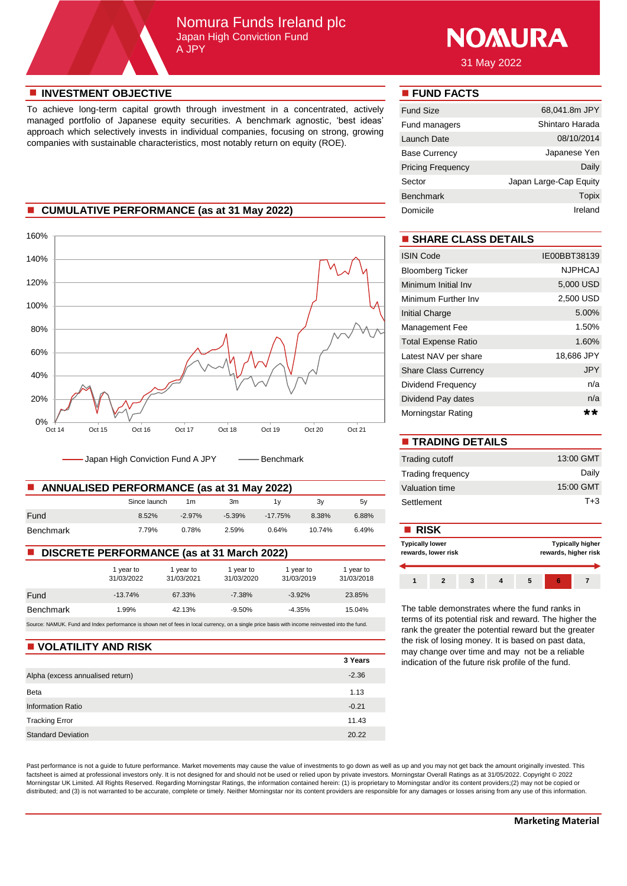## Nomura Funds Ireland plc Japan High Conviction Fund A JPY



31 May 2022

#### **n** INVESTMENT OBJECTIVE **n FUND FACTS**

To achieve long-term capital growth through investment in a concentrated, actively managed portfolio of Japanese equity securities. A benchmark agnostic, 'best ideas' approach which selectively invests in individual companies, focusing on strong, growing companies with sustainable characteristics, most notably return on equity (ROE).

### **n** CUMULATIVE PERFORMANCE (as at 31 May 2022)



Japan High Conviction Fund A JPY - - Benchmark

| <b>ANNUALISED PERFORMANCE (as at 31 May 2022)</b> | Valuation time |          |          |           |        |       |             |
|---------------------------------------------------|----------------|----------|----------|-----------|--------|-------|-------------|
|                                                   | Since launch   | 1m       | 3m       | 1 v       | 3۷     | 5v    | Settlement  |
| Fund                                              | 8.52%          | $-2.97%$ | $-5.39%$ | $-17.75%$ | 8.38%  | 6.88% |             |
| Benchmark                                         | 7.79%          | 0.78%    | 2.59%    | 0.64%     | 10.74% | 6.49% | <b>RISK</b> |

### **DISCRETE PERFORMANCE (as at 31 March 2022)**

|                                                                                                                                                 | 1 year to<br>31/03/2022 | 1 year to<br>31/03/2021 | 1 year to<br>31/03/2020 | 1 year to<br>31/03/2019 | 1 year to<br>31/03/2018 |  |  |
|-------------------------------------------------------------------------------------------------------------------------------------------------|-------------------------|-------------------------|-------------------------|-------------------------|-------------------------|--|--|
| Fund                                                                                                                                            | $-13.74%$               | 67.33%                  | $-7.38\%$               | $-3.92%$                | 23.85%                  |  |  |
| <b>Benchmark</b>                                                                                                                                | 1.99%                   | 42.13%                  | $-9.50%$                | $-4.35%$                | 15.04%                  |  |  |
| Source: NAMUK. Fund and Index performance is shown net of fees in local currency, on a single price basis with income reinvested into the fund. |                         |                         |                         |                         |                         |  |  |

#### **N** VOLATILITY AND RISK

|                                  | 3 Years |
|----------------------------------|---------|
| Alpha (excess annualised return) | $-2.36$ |
| Beta                             | 1.13    |
| <b>Information Ratio</b>         | $-0.21$ |
| <b>Tracking Error</b>            | 11.43   |
| <b>Standard Deviation</b>        | 20.22   |

Past performance is not a guide to future performance. Market movements may cause the value of investments to go down as well as up and you may not get back the amount originally invested. This factsheet is aimed at professional investors only. It is not designed for and should not be used or relied upon by private investors. Morningstar Overall Ratings as at 31/05/2022. Copyright © 2022 Morningstar UK Limited. All Rights Reserved. Regarding Morningstar Ratings, the information contained herein: (1) is proprietary to Morningstar and/or its content providers;(2) may not be copied or distributed; and (3) is not warranted to be accurate, complete or timely. Neither Morningstar nor its content providers are responsible for any damages or losses arising from any use of this information.

| <b>Fund Size</b>         | 68,041.8m JPY          |
|--------------------------|------------------------|
| Fund managers            | Shintaro Harada        |
| Launch Date              | 08/10/2014             |
| <b>Base Currency</b>     | Japanese Yen           |
| <b>Pricing Frequency</b> | Daily                  |
| Sector                   | Japan Large-Cap Equity |
| <b>Benchmark</b>         | Topix                  |
| Domicile                 | Ireland                |

# $\blacksquare$  **SHARE CLASS DETAILS**

| <b>ISIN Code</b>            | IE00BBT38139   |
|-----------------------------|----------------|
| <b>Bloomberg Ticker</b>     | <b>NJPHCAJ</b> |
| Minimum Initial Inv         | 5,000 USD      |
| Minimum Further Inv         | 2,500 USD      |
| <b>Initial Charge</b>       | 5.00%          |
| Management Fee              | 1.50%          |
| <b>Total Expense Ratio</b>  | 1.60%          |
| Latest NAV per share        | 18,686 JPY     |
| <b>Share Class Currency</b> | <b>JPY</b>     |
| Dividend Frequency          | n/a            |
| Dividend Pay dates          | n/a            |
| Morningstar Rating          | **             |

| <b>TRADING DETAILS</b>   |           |
|--------------------------|-----------|
| Trading cutoff           | 13:00 GMT |
| <b>Trading frequency</b> | Daily     |
| Valuation time           | 15:00 GMT |
| Settlement               | $T + 3$   |

#### **Typically higher rewards, higher risk 1 2 3 4 5 6 7 Typically lower rewards, lower risk**

The table demonstrates where the fund ranks in terms of its potential risk and reward. The higher the rank the greater the potential reward but the greater the risk of losing money. It is based on past data, may change over time and may not be a reliable indication of the future risk profile of the fund.